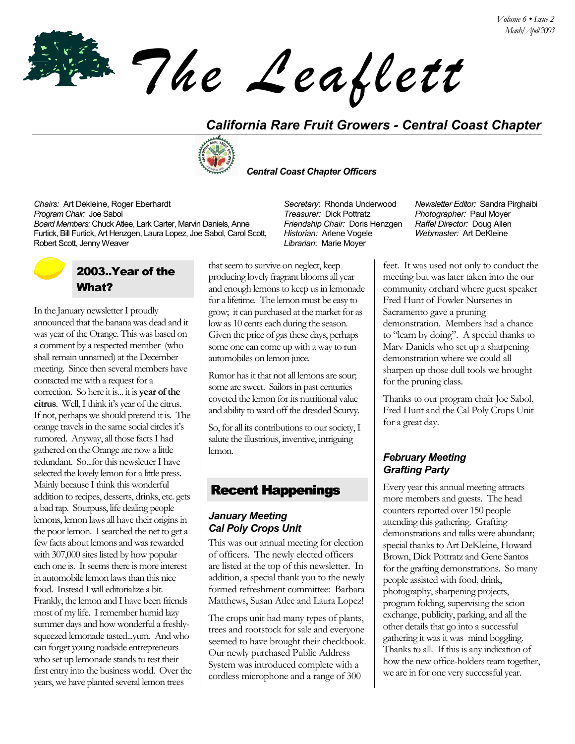*The Leaflett*

## *California Rare Fruit Growers - Central Coast Chapter*



 *Central Coast Chapter Officers*

*Chairs:* Art Dekleine, Roger Eberhardt *Secretary*: Rhonda Underwood *Newsletter Editor:* Sandra Pirghaibi *Program Chair:* Joe Sabol *Treasurer:* Dick Pottratz *Photographer:* Paul Moyer *Board Members:* Chuck Atlee, Lark Carter, Marvin Daniels, Anne Furtick, Bill Furtick, Art Henzgen, Laura Lopez, Joe Sabol, Carol Scott, Robert Scott, Jenny Weaver *Librarian*:Marie Moyer

# 2003..Year of the What?

In the January newsletter I proudly announced that the banana was dead and it was year of the Orange. This was based on a comment by a respected member (who shall remain unnamed) at the December meeting. Since then several members have contacted me with a request for a correction. So here it is... it is **year of the**  citrus. Well, I think it's year of the citrus. If not, perhaps we should pretend it is. The orange travels in the same social circles it's rumored. Anyway, all those facts I had gathered on the Orange are now a little redundant. So...for this newsletter I have selected the lovely lemon for a little press. Mainly because I think this wonderful addition to recipes, desserts, drinks, etc. gets a bad rap. Sourpuss, life dealing people lemons, lemon laws all have their origins in the poor lemon. I searched the net to get a few facts about lemons and was rewarded with 307,000 sites listed by how popular each one is. It seems there is more interest in automobile lemon laws than this nice food. Instead I will editorialize a bit. Frankly, the lemon and I have been friends most of my life. I remember humid lazy summer days and how wonderful a freshlysqueezed lemonade tasted...yum. And who can forget young roadside entrepreneurs who set up lemonade stands to test their first entry into the business world. Over the years, we have planted several lemon trees

that seem to survive on neglect, keep producing lovely fragrant blooms all year and enough lemons to keep us in lemonade for a lifetime. The lemon must be easy to grow; it can purchased at the market for as low as 10 cents each during the season. Given the price of gas these days, perhaps some one can come up with a way to run automobiles on lemon juice.

Rumor has it that not all lemons are sour; some are sweet. Sailors in past centuries coveted the lemon for its nutritional value and ability to ward off the dreaded Scurvy.

So, for all its contributions to our society, I salute the illustrious, inventive, intriguing lemon.

### Recent Happenings

#### *January Meeting Cal Poly Crops Unit*

This was our annual meeting for election of officers. The newly elected officers are listed at the top of this newsletter. In addition, a special thank you to the newly formed refreshment committee: Barbara Matthews, Susan Atlee and Laura Lopez!

The crops unit had many types of plants, trees and rootstock for sale and everyone seemed to have brought their checkbook. Our newly purchased Public Address System was introduced complete with a cordless microphone and a range of 300

*Friendship Chair:* Doris Henzgen *Historian:* Arlene Vogele

*Raffel Director:* Doug Allen *Webmaster:* Art DeKleine

feet. It was used not only to conduct the meeting but was later taken into the our community orchard where guest speaker Fred Hunt of Fowler Nurseries in Sacramento gave a pruning demonstration. Members had a chance to "learn by doing". A special thanks to Marv Daniels who set up a sharpening demonstration where we could all sharpen up those dull tools we brought for the pruning class.

Thanks to our program chair Joe Sabol, Fred Hunt and the Cal Poly Crops Unit for a great day.

### *February Meeting Grafting Party*

Every year this annual meeting attracts more members and guests. The head counters reported over 150 people attending this gathering. Grafting demonstrations and talks were abundant; special thanks to Art DeKleine, Howard Brown, Dick Pottratz and Gene Santos for the grafting demonstrations. So many people assisted with food, drink, photography, sharpening projects, program folding, supervising the scion exchange, publicity, parking, and all the other details that go into a successful gathering it was it was mind boggling. Thanks to all. If this is any indication of how the new office-holders team together, we are in for one very successful year.